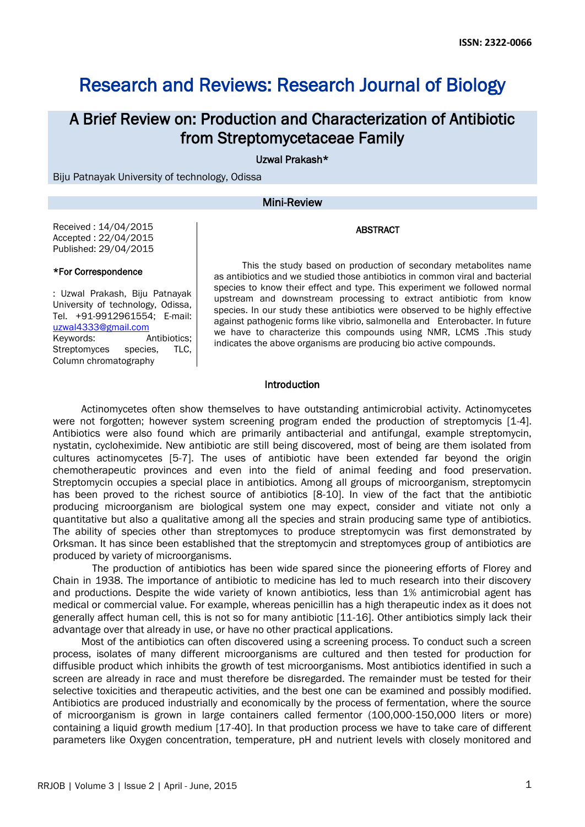# Research and Reviews: Research Journal of Biology

# A Brief Review on: Production and Characterization of Antibiotic from Streptomycetaceae Family

Uzwal Prakash\*

Biju Patnayak University of technology, Odissa

#### Mini-Review

#### ABSTRACT

Received : 14/04/2015 Accepted : 22/04/2015 Published: 29/04/2015

#### \*For Correspondence

: Uzwal Prakash, Biju Patnayak University of technology, Odissa, Tel. +91-9912961554; E-mail: [uzwal4333@gmail.com](mailto:uzwal4333@gmail.com) Keywords: Antibiotics; Streptomyces species, TLC, Column chromatography

This the study based on production of secondary metabolites name as antibiotics and we studied those antibiotics in common viral and bacterial species to know their effect and type. This experiment we followed normal upstream and downstream processing to extract antibiotic from know species. In our study these antibiotics were observed to be highly effective against pathogenic forms like vibrio, salmonella and Enterobacter. In future we have to characterize this compounds using NMR, LCMS .This study indicates the above organisms are producing bio active compounds.

#### Introduction

Actinomycetes often show themselves to have outstanding antimicrobial activity. Actinomycetes were not forgotten; however system screening program ended the production of streptomycis [1-4]. Antibiotics were also found which are primarily antibacterial and antifungal, example streptomycin, nystatin, cycloheximide. New antibiotic are still being discovered, most of being are them isolated from cultures actinomycetes [5-7]. The uses of antibiotic have been extended far beyond the origin chemotherapeutic provinces and even into the field of animal feeding and food preservation. Streptomycin occupies a special place in antibiotics. Among all groups of microorganism, streptomycin has been proved to the richest source of antibiotics [8-10]. In view of the fact that the antibiotic producing microorganism are biological system one may expect, consider and vitiate not only a quantitative but also a qualitative among all the species and strain producing same type of antibiotics. The ability of species other than streptomyces to produce streptomycin was first demonstrated by Orksman. It has since been established that the streptomycin and streptomyces group of antibiotics are produced by variety of microorganisms.

 The production of antibiotics has been wide spared since the pioneering efforts of Florey and Chain in 1938. The importance of antibiotic to medicine has led to much research into their discovery and productions. Despite the wide variety of known antibiotics, less than 1% antimicrobial agent has medical or commercial value. For example, whereas penicillin has a high therapeutic index as it does not generally affect human cell, this is not so for many antibiotic [11-16]. Other antibiotics simply lack their advantage over that already in use, or have no other practical applications.

Most of the antibiotics can often discovered using a screening process. To conduct such a screen process, isolates of many different microorganisms are cultured and then tested for production for diffusible product which inhibits the growth of test microorganisms. Most antibiotics identified in such a screen are already in race and must therefore be disregarded. The remainder must be tested for their selective toxicities and therapeutic activities, and the best one can be examined and possibly modified. Antibiotics are produced industrially and economically by the process of fermentation, where the source of microorganism is grown in large containers called fermentor (100,000-150,000 liters or more) containing a liquid growth medium [17-40]. In that production process we have to take care of different parameters like Oxygen concentration, temperature, pH and nutrient levels with closely monitored and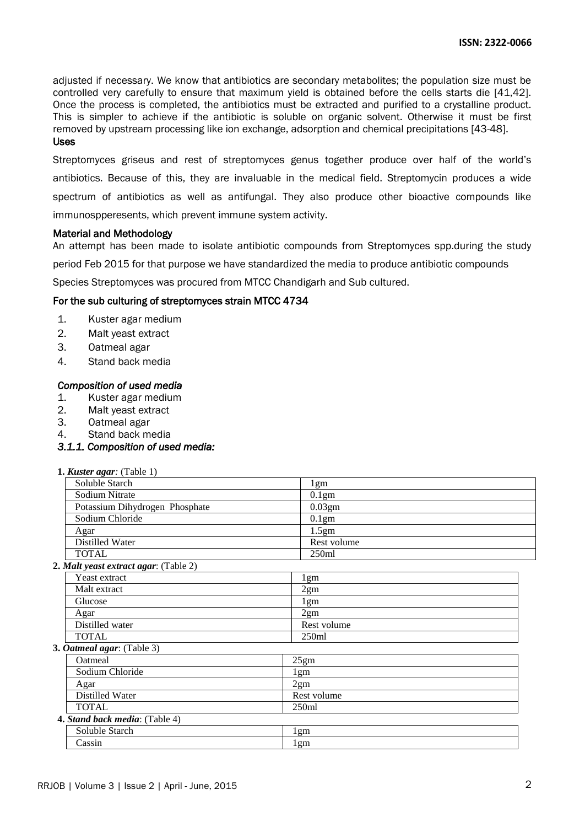adjusted if necessary. We know that antibiotics are secondary metabolites; the population size must be controlled very carefully to ensure that maximum yield is obtained before the cells starts die [41,42]. Once the process is completed, the antibiotics must be extracted and purified to a crystalline product. This is simpler to achieve if the antibiotic is soluble on organic solvent. Otherwise it must be first removed by upstream processing like ion exchange, adsorption and chemical precipitations [43-48]. Uses

Streptomyces griseus and rest of streptomyces genus together produce over half of the world's antibiotics. Because of this, they are invaluable in the medical field. Streptomycin produces a wide spectrum of antibiotics as well as antifungal. They also produce other bioactive compounds like immunospperesents, which prevent immune system activity.

#### Material and Methodology

An attempt has been made to isolate antibiotic compounds from Streptomyces spp.during the study

period Feb 2015 for that purpose we have standardized the media to produce antibiotic compounds

Species Streptomyces was procured from MTCC Chandigarh and Sub cultured.

#### For the sub culturing of streptomyces strain MTCC 4734

- 1. Kuster agar medium
- 2. Malt yeast extract
- 3. Oatmeal agar
- 4. Stand back media

#### *Composition of used media*

- 1. Kuster agar medium
- 2. Malt yeast extract
- 3. Oatmeal agar
- 4. Stand back media

### *3.1.1. Composition of used media:*

| 1. Kuster agar: $(Table 1)$           |                   |  |
|---------------------------------------|-------------------|--|
| Soluble Starch                        | 1gm               |  |
| Sodium Nitrate                        | 0.1 <sub>gm</sub> |  |
| Potassium Dihydrogen Phosphate        | 0.03gm            |  |
| Sodium Chloride                       | 0.1 <sub>gm</sub> |  |
| Agar                                  | 1.5gm             |  |
| Distilled Water                       | Rest volume       |  |
| <b>TOTAL</b>                          | 250ml             |  |
| 2. Malt yeast extract agar: (Table 2) |                   |  |
| Yeast extract                         | $1g$ m            |  |
| Malt extract                          | 2gm               |  |
| Glucose                               | 1gm               |  |
| Agar                                  | $2g$ m            |  |
| Distilled water                       | Rest volume       |  |
| <b>TOTAL</b>                          | 250ml             |  |
| 3. Oatmeal agar: (Table 3)            |                   |  |
| Oatmeal                               | 25gm              |  |
| Sodium Chloride                       | 1gm               |  |
| Agar                                  | 2gm               |  |
| Distilled Water                       | Rest volume       |  |
| <b>TOTAL</b>                          | 250ml             |  |
| 4. Stand back media: (Table 4)        |                   |  |
| Soluble Starch                        | 1gm               |  |
| Cassin                                | 1gm               |  |
|                                       |                   |  |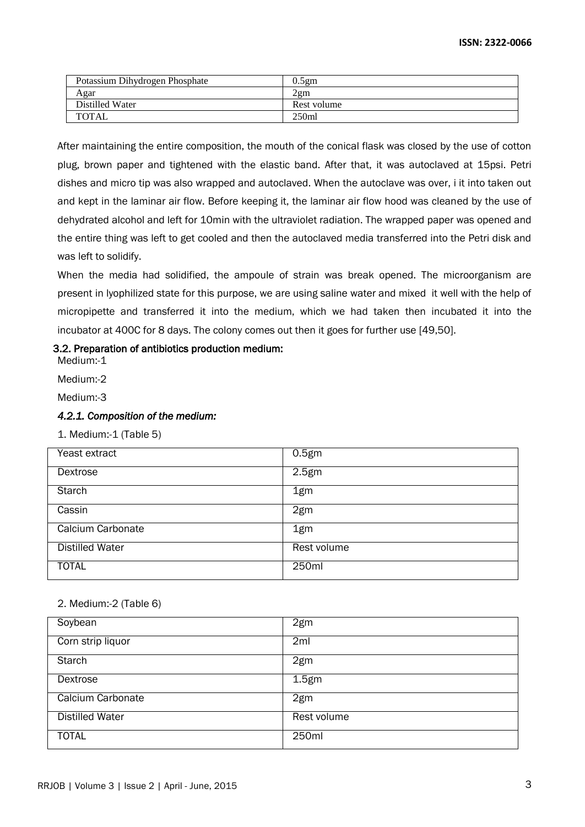| Potassium Dihydrogen Phosphate | 0.5em             |
|--------------------------------|-------------------|
| Agar                           | 2gm               |
| Distilled Water                | Rest volume       |
| <b>TOTAL</b>                   | 250 <sub>ml</sub> |

After maintaining the entire composition, the mouth of the conical flask was closed by the use of cotton plug, brown paper and tightened with the elastic band. After that, it was autoclaved at 15psi. Petri dishes and micro tip was also wrapped and autoclaved. When the autoclave was over, i it into taken out and kept in the laminar air flow. Before keeping it, the laminar air flow hood was cleaned by the use of dehydrated alcohol and left for 10min with the ultraviolet radiation. The wrapped paper was opened and the entire thing was left to get cooled and then the autoclaved media transferred into the Petri disk and was left to solidify.

When the media had solidified, the ampoule of strain was break opened. The microorganism are present in lyophilized state for this purpose, we are using saline water and mixed it well with the help of micropipette and transferred it into the medium, which we had taken then incubated it into the incubator at 400C for 8 days. The colony comes out then it goes for further use [49,50].

# 3.2. Preparation of antibiotics production medium:

Medium:-1

Medium:-2

Medium:-3

# *4.2.1. Composition of the medium:*

1. Medium:-1 (Table 5)

| Yeast extract          | 0.5 <sub>gm</sub> |
|------------------------|-------------------|
| Dextrose               | 2.5 <sub>gm</sub> |
| <b>Starch</b>          | 1gm               |
| Cassin                 | 2gm               |
| Calcium Carbonate      | 1gm               |
| <b>Distilled Water</b> | Rest volume       |
| <b>TOTAL</b>           | 250ml             |

|  | 2. Medium:-2 (Table 6) |  |
|--|------------------------|--|
|--|------------------------|--|

| Soybean                  | 2gm               |
|--------------------------|-------------------|
| Corn strip liquor        | 2ml               |
| <b>Starch</b>            | 2gm               |
| Dextrose                 | 1.5 <sub>gm</sub> |
| <b>Calcium Carbonate</b> | 2gm               |
| <b>Distilled Water</b>   | Rest volume       |
| <b>TOTAL</b>             | 250ml             |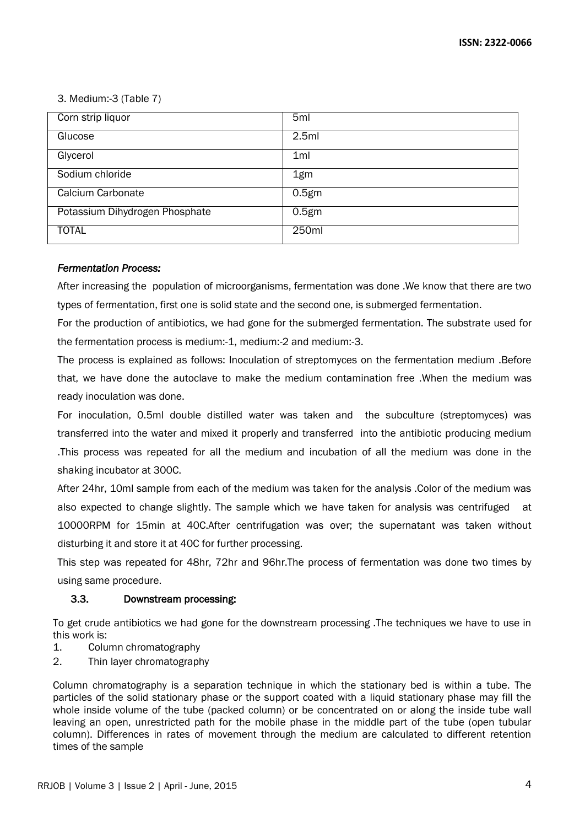3. Medium:-3 (Table 7)

| Corn strip liquor              | 5 <sub>ml</sub>   |
|--------------------------------|-------------------|
| Glucose                        | 2.5ml             |
| Glycerol                       | 1 <sub>ml</sub>   |
| Sodium chloride                | 1gm               |
| Calcium Carbonate              | 0.5 <sub>gm</sub> |
| Potassium Dihydrogen Phosphate | 0.5 <sub>gm</sub> |
| <b>TOTAL</b>                   | 250ml             |

# *Fermentation Process:*

After increasing the population of microorganisms, fermentation was done .We know that there are two types of fermentation, first one is solid state and the second one, is submerged fermentation.

For the production of antibiotics, we had gone for the submerged fermentation. The substrate used for the fermentation process is medium:-1, medium:-2 and medium:-3.

The process is explained as follows: Inoculation of streptomyces on the fermentation medium .Before that, we have done the autoclave to make the medium contamination free .When the medium was ready inoculation was done.

For inoculation, 0.5ml double distilled water was taken and the subculture (streptomyces) was transferred into the water and mixed it properly and transferred into the antibiotic producing medium .This process was repeated for all the medium and incubation of all the medium was done in the shaking incubator at 300C.

After 24hr, 10ml sample from each of the medium was taken for the analysis .Color of the medium was also expected to change slightly. The sample which we have taken for analysis was centrifuged at 10000RPM for 15min at 40C.After centrifugation was over; the supernatant was taken without disturbing it and store it at 40C for further processing.

This step was repeated for 48hr, 72hr and 96hr.The process of fermentation was done two times by using same procedure.

# 3.3. Downstream processing:

To get crude antibiotics we had gone for the downstream processing .The techniques we have to use in this work is:

- 1. Column chromatography
- 2. Thin layer chromatography

Column chromatography is a separation technique in which the stationary bed is within a tube. The particles of the solid stationary phase or the support coated with a liquid stationary phase may fill the whole inside volume of the tube (packed column) or be concentrated on or along the inside tube wall leaving an open, unrestricted path for the mobile phase in the middle part of the tube (open tubular column). Differences in rates of movement through the medium are calculated to different retention times of the sample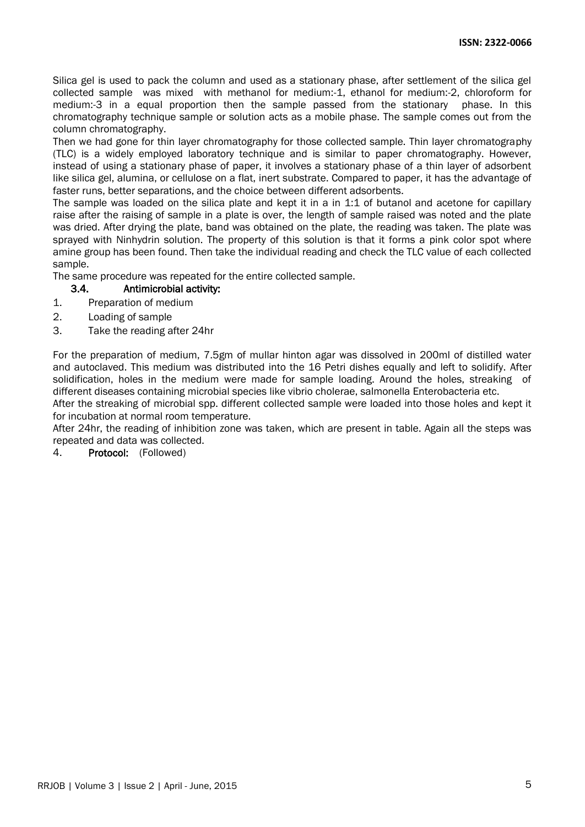Silica gel is used to pack the column and used as a stationary phase, after settlement of the silica gel collected sample was mixed with methanol for medium:-1, ethanol for medium:-2, chloroform for medium:-3 in a equal proportion then the sample passed from the stationary phase. In this chromatography technique sample or solution acts as a mobile phase. The sample comes out from the column chromatography.

Then we had gone for thin layer chromatography for those collected sample. Thin layer chromatography (TLC) is a widely employed laboratory technique and is similar to paper chromatography. However, instead of using a stationary phase of paper, it involves a stationary phase of a thin layer of adsorbent like silica gel, alumina, or cellulose on a flat, inert substrate. Compared to paper, it has the advantage of faster runs, better separations, and the choice between different adsorbents.

The sample was loaded on the silica plate and kept it in a in 1:1 of butanol and acetone for capillary raise after the raising of sample in a plate is over, the length of sample raised was noted and the plate was dried. After drying the plate, band was obtained on the plate, the reading was taken. The plate was sprayed with Ninhydrin solution. The property of this solution is that it forms a pink color spot where amine group has been found. Then take the individual reading and check the TLC value of each collected sample.

The same procedure was repeated for the entire collected sample.

- 3.4. Antimicrobial activity:
- 1. Preparation of medium
- 2. Loading of sample
- 3. Take the reading after 24hr

For the preparation of medium, 7.5gm of mullar hinton agar was dissolved in 200ml of distilled water and autoclaved. This medium was distributed into the 16 Petri dishes equally and left to solidify. After solidification, holes in the medium were made for sample loading. Around the holes, streaking of different diseases containing microbial species like vibrio cholerae, salmonella Enterobacteria etc.

After the streaking of microbial spp. different collected sample were loaded into those holes and kept it for incubation at normal room temperature.

After 24hr, the reading of inhibition zone was taken, which are present in table. Again all the steps was repeated and data was collected.

4. Protocol: (Followed)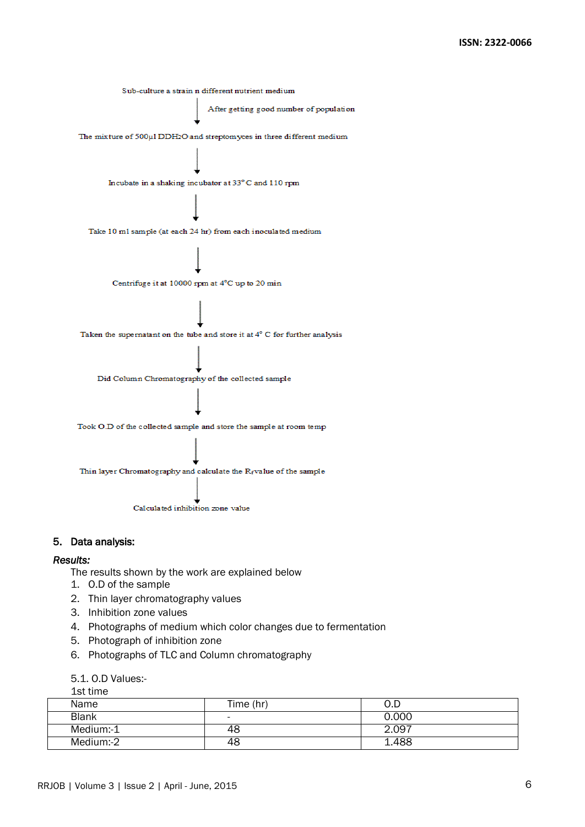

#### 5. Data analysis:

#### *Results:*

The results shown by the work are explained below

- 1. O.D of the sample
- 2. Thin layer chromatography values
- 3. Inhibition zone values
- 4. Photographs of medium which color changes due to fermentation
- 5. Photograph of inhibition zone
- 6. Photographs of TLC and Column chromatography

# 5.1. O.D Values:-

1st time

| Name         | Time (hr)                | 0.D   |  |
|--------------|--------------------------|-------|--|
| <b>Blank</b> | $\overline{\phantom{0}}$ | 0.000 |  |
| Medium:-1    | 48                       | 2.097 |  |
| Medium:-2    | 48                       | 1.488 |  |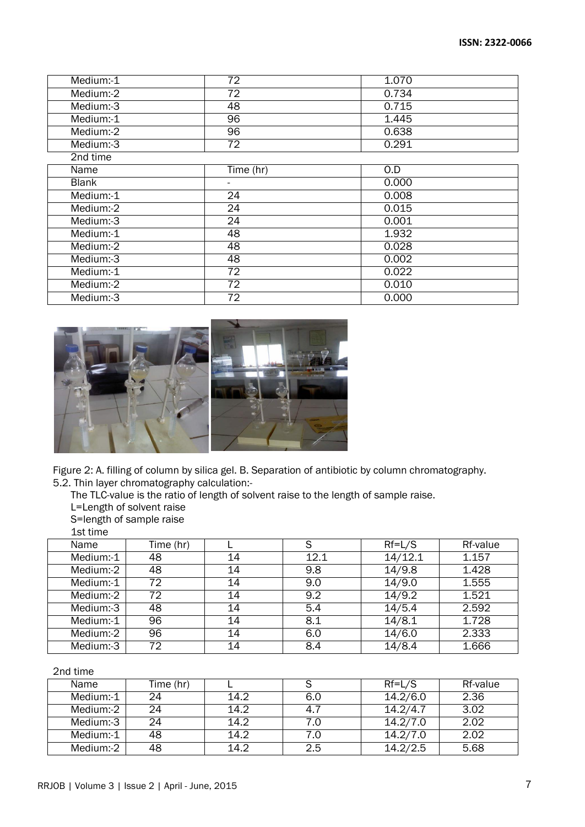| $M$ edium:-1 | 72              | 1.070 |
|--------------|-----------------|-------|
| Medium:-2    | $\overline{72}$ | 0.734 |
| Medium:-3    | $\overline{48}$ | 0.715 |
| Medium:-1    | 96              | 1.445 |
| Medium:-2    | 96              | 0.638 |
| Medium:-3    | 72              | 0.291 |
| 2nd time     |                 |       |
| Name         | Time (hr)       | 0.D   |
| <b>Blank</b> |                 | 0.000 |
| Medium:-1    | $\overline{24}$ | 0.008 |
| Medium:-2    | 24              | 0.015 |
| Medium:-3    | 24              | 0.001 |
| Medium:-1    | $\overline{48}$ | 1.932 |
| Medium:-2    | 48              | 0.028 |
| Medium:-3    | $\overline{48}$ | 0.002 |
| Medium:-1    | 72              | 0.022 |
| Medium:-2    | $\overline{72}$ | 0.010 |
| Medium:-3    | 72              | 0.000 |



Figure 2: A. filling of column by silica gel. B. Separation of antibiotic by column chromatography. 5.2. Thin layer chromatography calculation:-

The TLC-value is the ratio of length of solvent raise to the length of sample raise.

L=Length of solvent raise

S=length of sample raise

1st time

| Name      | Time (hr) |    | S    | $Rf=L/S$ | Rf-value |
|-----------|-----------|----|------|----------|----------|
| Medium:-1 | 48        | 14 | 12.1 | 14/12.1  | 1.157    |
| Medium:-2 | 48        | 14 | 9.8  | 14/9.8   | 1.428    |
| Medium:-1 | 72        | 14 | 9.0  | 14/9.0   | 1.555    |
| Medium:-2 | 72        | 14 | 9.2  | 14/9.2   | 1.521    |
| Medium:-3 | 48        | 14 | 5.4  | 14/5.4   | 2.592    |
| Medium:-1 | 96        | 14 | 8.1  | 14/8.1   | 1.728    |
| Medium:-2 | 96        | 14 | 6.0  | 14/6.0   | 2.333    |
| Medium:-3 | 72        | 14 | 8.4  | 14/8.4   | 1.666    |

# 2nd time

| Name      | Time (hr) |      |     | $Rf=L/S$ | Rf-value |
|-----------|-----------|------|-----|----------|----------|
| Medium:-1 |           | 14.2 | 6.0 | 14.2/6.0 | 2.36     |
| Medium:-2 |           | 14.2 | 4.7 | 14.2/4.7 | 3.02     |
| Medium:-3 | 24        | 14.2 | 7.0 | 14.2/7.0 | 2.02     |
| Medium:-1 | 48        | 14.2 | 7.0 | 14.2/7.0 | 2.02     |
| Medium:-2 | 48        | 14.2 | 2.5 | 14.2/2.5 | 5.68     |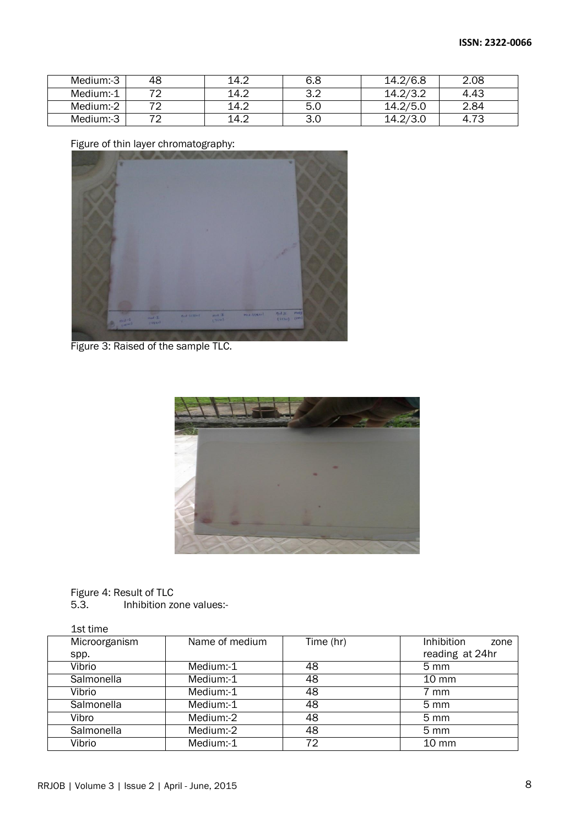| Medium:-3 | 48 | 14.2 | 6.8 | 14.2/6.8 | 2.08       |
|-----------|----|------|-----|----------|------------|
| Medium:-1 | 70 | 14.2 | ے.ر | 14.2/3.2 | 4.43       |
| Medium:-2 |    | 14.2 | 5.0 | 14.2/5.0 | 2.84       |
| Medium:-3 |    | 14.2 | 3.U |          | 70<br>4.73 |

Figure of thin layer chromatography:



Figure 3: Raised of the sample TLC.



Figure 4: Result of TLC<br>5.3. Inhibition zo Inhibition zone values:-

| 1st time      |                |           |                           |
|---------------|----------------|-----------|---------------------------|
| Microorganism | Name of medium | Time (hr) | <b>Inhibition</b><br>zone |
| spp.          |                |           | reading at 24hr           |
| Vibrio        | Medium:-1      | 48        | $5 \text{ mm}$            |
| Salmonella    | Medium:-1      | 48        | $10 \text{ mm}$           |
| Vibrio        | Medium:-1      | 48        | 7 mm                      |
| Salmonella    | Medium:-1      | 48        | $5 \text{ mm}$            |
| Vibro         | Medium:-2      | 48        | $5 \text{ mm}$            |
| Salmonella    | Medium:-2      | 48        | $5 \text{ mm}$            |
| Vibrio        | Medium:-1      | 72        | $10 \, \text{mm}$         |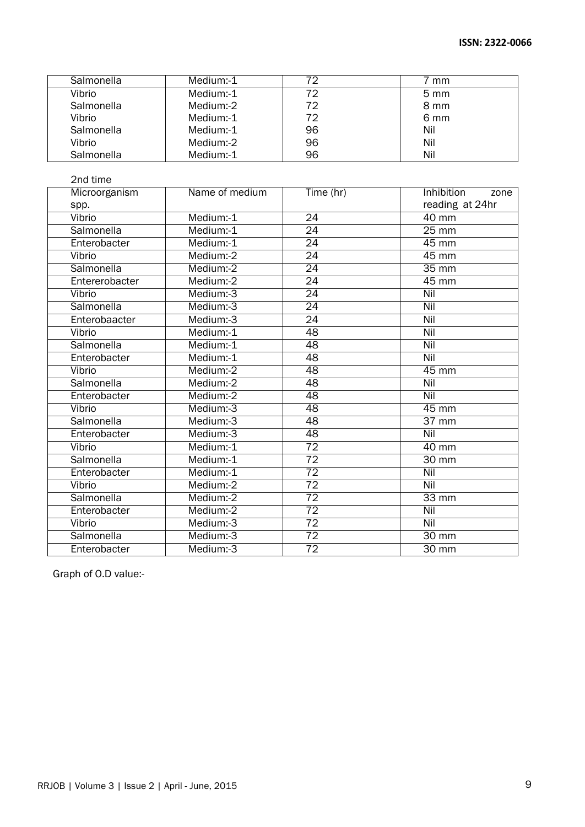| Salmonella | Medium:-1 | 72 | 7 mm           |
|------------|-----------|----|----------------|
| Vibrio     | Medium:-1 | 72 | $5 \text{ mm}$ |
| Salmonella | Medium:-2 | 72 | 8 mm           |
| Vibrio     | Medium:-1 | 72 | 6 mm           |
| Salmonella | Medium:-1 | 96 | Nil            |
| Vibrio     | Medium:-2 | 96 | Nil            |
| Salmonella | Medium:-1 | 96 | Nil            |

| 2nd time       |                |                 |                    |
|----------------|----------------|-----------------|--------------------|
| Microorganism  | Name of medium | Time (hr)       | Inhibition<br>zone |
| spp.           |                |                 | reading at 24hr    |
| Vibrio         | Medium:-1      | $\overline{24}$ | $40 \text{ mm}$    |
| Salmonella     | Medium:-1      | $\overline{24}$ | $25 \text{ mm}$    |
| Enterobacter   | Medium:-1      | $\overline{24}$ | $45 \text{ mm}$    |
| Vibrio         | Medium:-2      | 24              | 45 mm              |
| Salmonella     | Medium:-2      | 24              | $35 \text{ mm}$    |
| Entererobacter | Medium:-2      | $\overline{24}$ | $45 \text{ mm}$    |
| Vibrio         | Medium:-3      | 24              | Nil                |
| Salmonella     | Medium:-3      | 24              | Nil                |
| Enterobaacter  | Medium:-3      | $\overline{24}$ | Nil                |
| Vibrio         | Medium:-1      | 48              | Nil                |
| Salmonella     | Medium:-1      | 48              | Nil                |
| Enterobacter   | Medium:-1      | 48              | Nil                |
| Vibrio         | Medium:-2      | 48              | $45 \text{ mm}$    |
| Salmonella     | Medium:-2      | 48              | Nil                |
| Enterobacter   | Medium:-2      | 48              | Nil                |
| Vibrio         | Medium:-3      | 48              | 45 mm              |
| Salmonella     | Medium:-3      | 48              | $\overline{37}$ mm |
| Enterobacter   | Medium:-3      | 48              | Nil                |
| Vibrio         | Medium:-1      | $\overline{72}$ | $\overline{40}$ mm |
| Salmonella     | Medium:-1      | $\overline{72}$ | $30$ mm            |
| Enterobacter   | Medium:-1      | 72              | Nil                |
| Vibrio         | Medium:-2      | $\overline{72}$ | Nil                |
| Salmonella     | Medium:-2      | $\overline{72}$ | $33 \,\mathrm{mm}$ |
| Enterobacter   | Medium:-2      | $\overline{72}$ | Nil                |
| Vibrio         | Medium:-3      | $\overline{72}$ | Nil                |
| Salmonella     | Medium:-3      | 72              | $30 \,\mathrm{mm}$ |
| Enterobacter   | Medium:-3      | $\overline{72}$ | $30 \text{ mm}$    |

Graph of O.D value:-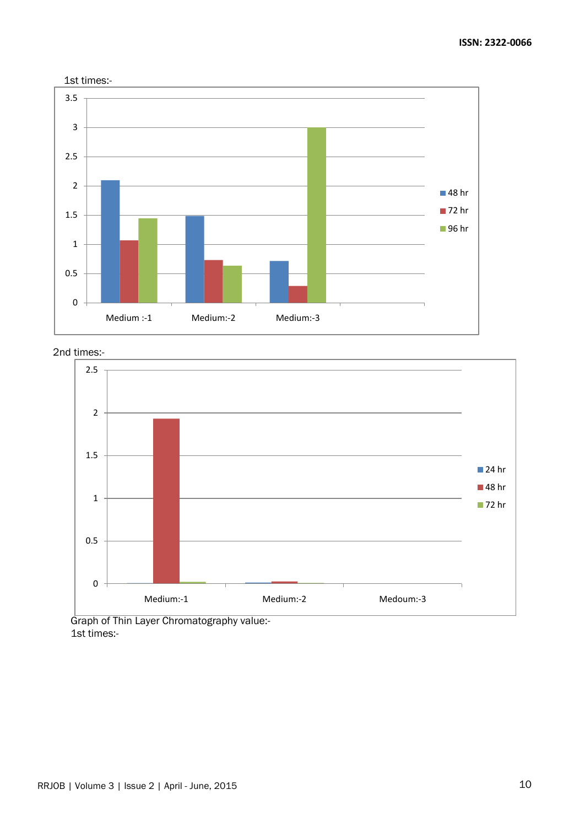



2nd times:-



<sup>1</sup>st times:-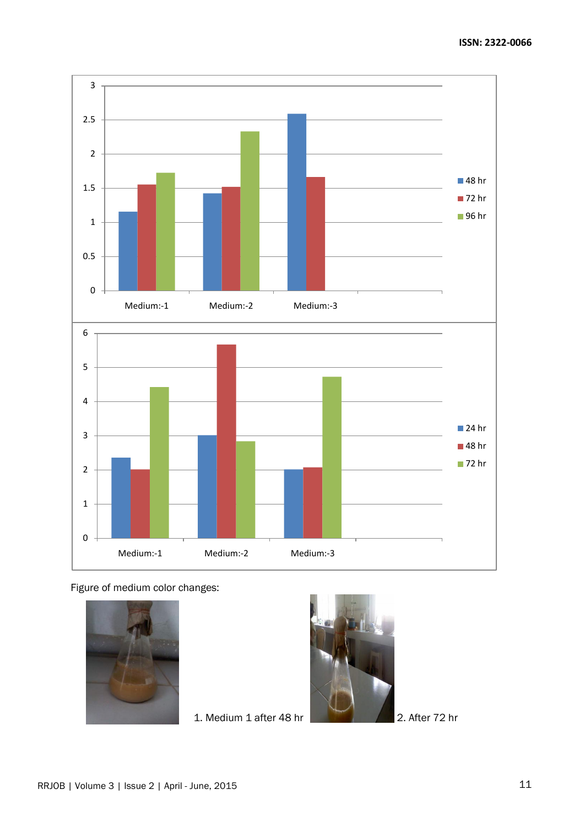

Figure of medium color changes:



1. Medium 1 after 48 hr 2. After 72 hr

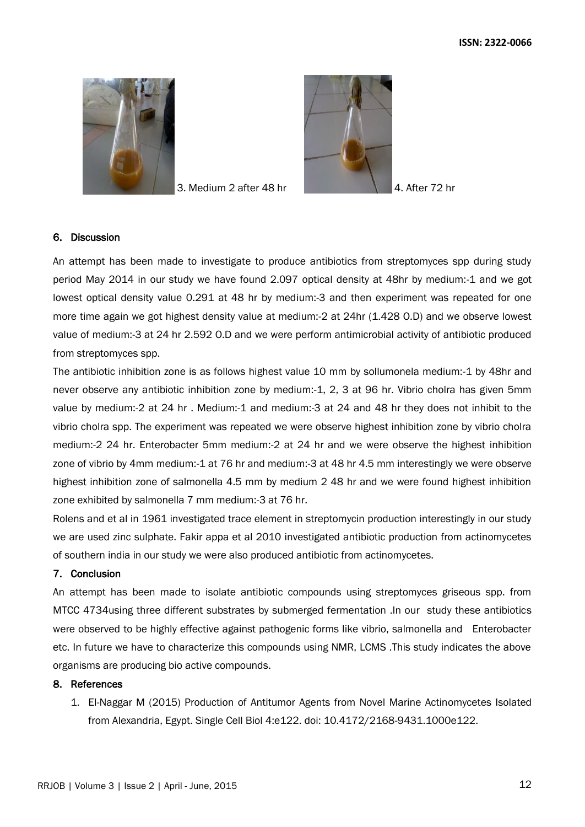

3. Medium 2 after 48 hr 4. After 72 hr



#### 6. Discussion

An attempt has been made to investigate to produce antibiotics from streptomyces spp during study period May 2014 in our study we have found 2.097 optical density at 48hr by medium:-1 and we got lowest optical density value 0.291 at 48 hr by medium:-3 and then experiment was repeated for one more time again we got highest density value at medium:-2 at 24hr (1.428 O.D) and we observe lowest value of medium:-3 at 24 hr 2.592 O.D and we were perform antimicrobial activity of antibiotic produced from streptomyces spp.

The antibiotic inhibition zone is as follows highest value 10 mm by sollumonela medium:-1 by 48hr and never observe any antibiotic inhibition zone by medium:-1, 2, 3 at 96 hr. Vibrio cholra has given 5mm value by medium:-2 at 24 hr . Medium:-1 and medium:-3 at 24 and 48 hr they does not inhibit to the vibrio cholra spp. The experiment was repeated we were observe highest inhibition zone by vibrio cholra medium:-2 24 hr. Enterobacter 5mm medium:-2 at 24 hr and we were observe the highest inhibition zone of vibrio by 4mm medium:-1 at 76 hr and medium:-3 at 48 hr 4.5 mm interestingly we were observe highest inhibition zone of salmonella 4.5 mm by medium 2 48 hr and we were found highest inhibition zone exhibited by salmonella 7 mm medium:-3 at 76 hr.

Rolens and et al in 1961 investigated trace element in streptomycin production interestingly in our study we are used zinc sulphate. Fakir appa et al 2010 investigated antibiotic production from actinomycetes of southern india in our study we were also produced antibiotic from actinomycetes.

# 7. Conclusion

An attempt has been made to isolate antibiotic compounds using streptomyces griseous spp. from MTCC 4734using three different substrates by submerged fermentation .In our study these antibiotics were observed to be highly effective against pathogenic forms like vibrio, salmonella and Enterobacter etc. In future we have to characterize this compounds using NMR, LCMS .This study indicates the above organisms are producing bio active compounds.

#### 8. References

1. [El-Naggar M \(2015\) Production of Antitumor Agents from Novel Marine Actinomycetes Isolated](http://omicsgroup.org/journals/production-of-antitumor-agents-from-novel-marine-actinomycetes-isolated-from-alexandria-egypt-2168-9431-1000e122.php?aid=50925)  [from Alexandria, Egypt. Single Cell Biol 4:e122. doi: 10.4172/2168-9431.1000e122.](http://omicsgroup.org/journals/production-of-antitumor-agents-from-novel-marine-actinomycetes-isolated-from-alexandria-egypt-2168-9431-1000e122.php?aid=50925)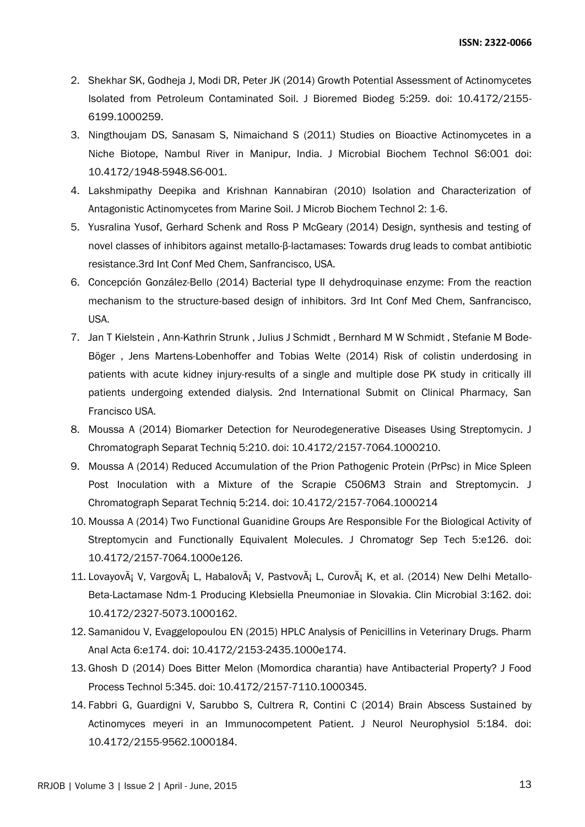- 2. [Shekhar SK, Godheja J, Modi DR, Peter JK \(2014\) Growth Potential Assessment of Actinomycetes](http://omicsonline.org/open-access/growth-potential-assessment-of-actinomycetes-isolated-from-petroleum-contaminated-soil-2155-6199.1000259.php?aid=34004)  [Isolated from Petroleum Contaminated Soil. J Bioremed Biodeg 5:259. doi: 10.4172/2155-](http://omicsonline.org/open-access/growth-potential-assessment-of-actinomycetes-isolated-from-petroleum-contaminated-soil-2155-6199.1000259.php?aid=34004) [6199.1000259.](http://omicsonline.org/open-access/growth-potential-assessment-of-actinomycetes-isolated-from-petroleum-contaminated-soil-2155-6199.1000259.php?aid=34004)
- 3. [Ningthoujam DS, Sanasam S, Nimaichand S \(2011\) Studies on Bioactive Actinomycetes in a](http://omicsonline.org/studies-on-bioactive-actinomycetes-in-a-niche-biotope-nambul-river-in%20manipur-india-1948-5948.S6-001.php?aid=2787)  [Niche Biotope, Nambul River in Manipur, India. J Microbial Biochem Technol S6:001 doi:](http://omicsonline.org/studies-on-bioactive-actinomycetes-in-a-niche-biotope-nambul-river-in%20manipur-india-1948-5948.S6-001.php?aid=2787)  [10.4172/1948-5948.S6-001.](http://omicsonline.org/studies-on-bioactive-actinomycetes-in-a-niche-biotope-nambul-river-in%20manipur-india-1948-5948.S6-001.php?aid=2787)
- 4. [Lakshmipathy Deepika and Krishnan Kannabiran \(2010\) Isolation and Characterization of](http://omicsonline.org/ArchiveJMBT/2010/Feburary/01/JMBT-02-001.pdf)  [Antagonistic Actinomycetes from Marine Soil. J Microb Biochem Technol 2: 1-6.](http://omicsonline.org/ArchiveJMBT/2010/Feburary/01/JMBT-02-001.pdf)
- 5. [Yusralina Yusof, Gerhard Schenk and Ross P McGeary \(2014\) Design, synthesis and testing of](http://omicsonline.org/2161-0444/2161-0444.S1.012-013.pdf)  [novel classes of inhibitors against metallo-](http://omicsonline.org/2161-0444/2161-0444.S1.012-013.pdf)β-lactamases: Towards drug leads to combat antibiotic [resistance.3rd Int Conf Med Chem, Sanfrancisco, USA.](http://omicsonline.org/2161-0444/2161-0444.S1.012-013.pdf)
- 6. [Concepción González-Bello \(2014\) Bacterial type II dehydroquinase enzyme: From the reaction](http://omicsonline.org/2161-0444/2161-0444.S1.011-006.pdf)  [mechanism to the structure-based design of inhibitors. 3rd Int Conf Med Chem, Sanfrancisco,](http://omicsonline.org/2161-0444/2161-0444.S1.011-006.pdf)  [USA.](http://omicsonline.org/2161-0444/2161-0444.S1.011-006.pdf)
- 7. [Jan T Kielstein , Ann-Kathrin Strunk , Julius J Schmidt , Bernhard M W Schmidt , Stefanie M Bode-](http://www.google.co.in/url?sa=t&rct=j&q=&esrc=s&source=web&cd=1&ved=0CB4QFjAA&url=http%3A%2F%2Fomicsonline.org%2Fabstract%2FRisk_Of_Colistin_Underdosing_In_Patients_With_Acute_Kidney_Injury__Results_Of_A_Single_And_Multiple_Dose_PK_Study_In_Critically_Ill)[Böger , Jens Martens-Lobenhoffer and Tobias Welte \(2014\) Risk of colistin underdosing in](http://www.google.co.in/url?sa=t&rct=j&q=&esrc=s&source=web&cd=1&ved=0CB4QFjAA&url=http%3A%2F%2Fomicsonline.org%2Fabstract%2FRisk_Of_Colistin_Underdosing_In_Patients_With_Acute_Kidney_Injury__Results_Of_A_Single_And_Multiple_Dose_PK_Study_In_Critically_Ill)  [patients with acute kidney injury-results of a single and multiple dose PK study in critically ill](http://www.google.co.in/url?sa=t&rct=j&q=&esrc=s&source=web&cd=1&ved=0CB4QFjAA&url=http%3A%2F%2Fomicsonline.org%2Fabstract%2FRisk_Of_Colistin_Underdosing_In_Patients_With_Acute_Kidney_Injury__Results_Of_A_Single_And_Multiple_Dose_PK_Study_In_Critically_Ill)  [patients undergoing extended dialysis. 2nd International Submit on Clinical Pharmacy, San](http://www.google.co.in/url?sa=t&rct=j&q=&esrc=s&source=web&cd=1&ved=0CB4QFjAA&url=http%3A%2F%2Fomicsonline.org%2Fabstract%2FRisk_Of_Colistin_Underdosing_In_Patients_With_Acute_Kidney_Injury__Results_Of_A_Single_And_Multiple_Dose_PK_Study_In_Critically_Ill)  [Francisco USA.](http://www.google.co.in/url?sa=t&rct=j&q=&esrc=s&source=web&cd=1&ved=0CB4QFjAA&url=http%3A%2F%2Fomicsonline.org%2Fabstract%2FRisk_Of_Colistin_Underdosing_In_Patients_With_Acute_Kidney_Injury__Results_Of_A_Single_And_Multiple_Dose_PK_Study_In_Critically_Ill)
- 8. [Moussa A \(2014\) Biomarker Detection for Neurodegenerative Diseases Using Streptomycin. J](http://omicsonline.org/open-access/biomarker-detection-for-neurodegenerative-diseases-using-streptomycin-2157-7064.1000210.php?aid=24110)  [Chromatograph Separat Techniq 5:210. doi: 10.4172/2157-7064.1000210.](http://omicsonline.org/open-access/biomarker-detection-for-neurodegenerative-diseases-using-streptomycin-2157-7064.1000210.php?aid=24110)
- 9. [Moussa A \(2014\) Reduced Accumulation of the Prion Pathogenic Protein \(PrPsc\) in Mice Spleen](http://omicsonline.org/open-access/reduced-accumulation-of-the-prion-pathogenic-protein-prpsc-in-mice-spleen-post-inoculation-2157-7064.1000214.php?aid=25837)  [Post Inoculation with a Mixture of the Scrapie C506M3 Strain and Streptomycin. J](http://omicsonline.org/open-access/reduced-accumulation-of-the-prion-pathogenic-protein-prpsc-in-mice-spleen-post-inoculation-2157-7064.1000214.php?aid=25837)  [Chromatograph Separat Techniq 5:214. doi: 10.4172/2157-7064.1000214](http://omicsonline.org/open-access/reduced-accumulation-of-the-prion-pathogenic-protein-prpsc-in-mice-spleen-post-inoculation-2157-7064.1000214.php?aid=25837)
- 10. [Moussa A \(2014\) Two Functional Guanidine Groups Are Responsible For the Biological Activity](http://omicsonline.org/open-access/two-functional-guanidine-groups-are-responsible-for-the-biological-activity-of-streptomycin-and-functionally-equivalent-molecules-2157-7064.1000e126.php?aid=34024) of [Streptomycin and Functionally Equivalent Molecules. J Chromatogr Sep Tech 5:e126. doi:](http://omicsonline.org/open-access/two-functional-guanidine-groups-are-responsible-for-the-biological-activity-of-streptomycin-and-functionally-equivalent-molecules-2157-7064.1000e126.php?aid=34024)  [10.4172/2157-7064.1000e126.](http://omicsonline.org/open-access/two-functional-guanidine-groups-are-responsible-for-the-biological-activity-of-streptomycin-and-functionally-equivalent-molecules-2157-7064.1000e126.php?aid=34024)
- 11. Lovayov $\tilde{A}$ i V, Vargov $\tilde{A}$ i L, Habalov $\tilde{A}$ i V, Pastvov $\tilde{A}$ i L, Curov $\tilde{A}$ i K, et al. (2014) New Delhi Metallo-[Beta-Lactamase Ndm-1 Producing Klebsiella Pneumoniae in Slovakia. Clin Microbial 3:162. doi:](http://esciencecentral.org/journals/new-delhi-metallobetalactamase-ndm-producing-klebsiella-pneumoniae-in-slovakia-2327-5073.1000162.php?aid=31060)  [10.4172/2327-5073.1000162.](http://esciencecentral.org/journals/new-delhi-metallobetalactamase-ndm-producing-klebsiella-pneumoniae-in-slovakia-2327-5073.1000162.php?aid=31060)
- 12. [Samanidou V, Evaggelopoulou EN \(2015\) HPLC Analysis of Penicillins in Veterinary Drugs. Pharm](http://omicsonline.org/open-access/hplc-analysis-of-penicillins-in-veterinary-drugs-2153-2435-1000e174.php?aid=51346)  [Anal Acta 6:e174. doi: 10.4172/2153-2435.1000e174.](http://omicsonline.org/open-access/hplc-analysis-of-penicillins-in-veterinary-drugs-2153-2435-1000e174.php?aid=51346)
- 13. [Ghosh D \(2014\) Does Bitter Melon \(Momordica charantia\) have Antibacterial Property? J Food](http://omicsonline.org/open-access/does-bitter-melon-momordica-charantia-have-antibacterial-property-2157-7110.1000345.pdf)  [Process Technol 5:345. doi: 10.4172/2157-7110.1000345.](http://omicsonline.org/open-access/does-bitter-melon-momordica-charantia-have-antibacterial-property-2157-7110.1000345.pdf)
- 14. [Fabbri G, Guardigni V, Sarubbo S, Cultrera R, Contini C \(2014\) Brain Abscess Sustained by](http://omicsonline.org/brain-abscess-sustained-by-actinomyces-meyeri-in-an-immunocompetent-patient-2155-9562-5-184.php?aid=22129)  [Actinomyces meyeri in an Immunocompetent Patient. J Neurol Neurophysiol 5:184. doi:](http://omicsonline.org/brain-abscess-sustained-by-actinomyces-meyeri-in-an-immunocompetent-patient-2155-9562-5-184.php?aid=22129)  [10.4172/2155-9562.1000184.](http://omicsonline.org/brain-abscess-sustained-by-actinomyces-meyeri-in-an-immunocompetent-patient-2155-9562-5-184.php?aid=22129)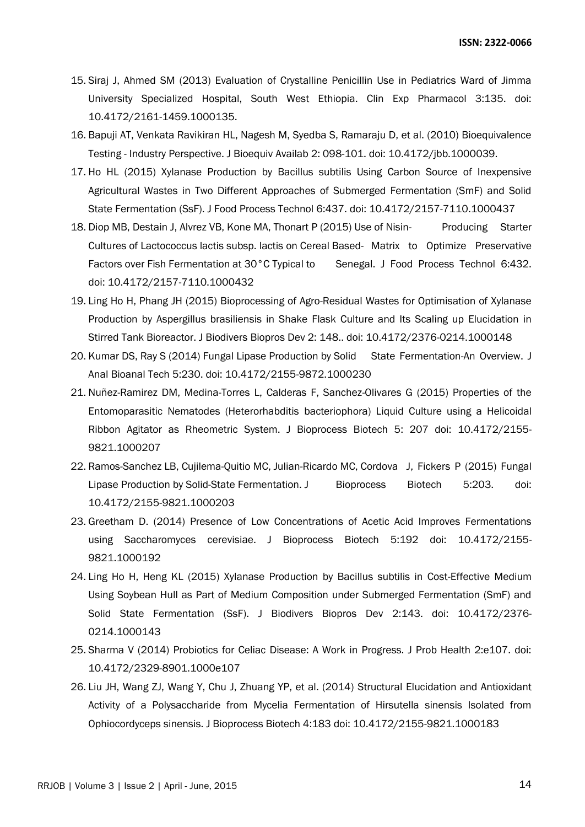- 15. [Siraj J, Ahmed SM \(2013\) Evaluation of Crystalline Penicillin Use in Pediatrics Ward of Jimma](http://omicsonline.org/evaluation-of-crystalline-penicillin-use-in-pediatrics-ward-of-jimma-university-specialized-hospital-south-west-ethiopia-2161-1459.1000135.php?aid=19985)  [University Specialized Hospital, South West Ethiopia. Clin Exp Pharmacol 3:135. doi:](http://omicsonline.org/evaluation-of-crystalline-penicillin-use-in-pediatrics-ward-of-jimma-university-specialized-hospital-south-west-ethiopia-2161-1459.1000135.php?aid=19985)  [10.4172/2161-1459.1000135.](http://omicsonline.org/evaluation-of-crystalline-penicillin-use-in-pediatrics-ward-of-jimma-university-specialized-hospital-south-west-ethiopia-2161-1459.1000135.php?aid=19985)
- 16. [Bapuji AT, Venkata Ravikiran HL, Nagesh M, Syedba S, Ramaraju D, et al. \(2010\) Bioequivalence](http://omicsonline.org/bioequivalence-testing-industry-perspective-jbb.1000039.php?aid=664)  Testing - [Industry Perspective. J Bioequiv Availab 2: 098-101. doi: 10.4172/jbb.1000039.](http://omicsonline.org/bioequivalence-testing-industry-perspective-jbb.1000039.php?aid=664)
- 17. [Ho HL \(2015\) Xylanase Production by Bacillus subtilis Using Carbon Source of Inexpensive](http://omicsonline.org/open-access/xylanase-production-by-bacillus-subtilis-using-carbon-source-ofinexpensive-agricultural-wastes-in-two-different-approaches-ofsubmerged-fermentation-smf-and-solid-state-fermentation-ssf-2157-7110-1000437.php?aid=51178)  [Agricultural Wastes in Two Different Approaches of Submerged Fermentation \(SmF\) and Solid](http://omicsonline.org/open-access/xylanase-production-by-bacillus-subtilis-using-carbon-source-ofinexpensive-agricultural-wastes-in-two-different-approaches-ofsubmerged-fermentation-smf-and-solid-state-fermentation-ssf-2157-7110-1000437.php?aid=51178)  [State Fermentation \(SsF\). J Food Process Technol 6:437. doi: 10.4172/2157-7110.1000437](http://omicsonline.org/open-access/xylanase-production-by-bacillus-subtilis-using-carbon-source-ofinexpensive-agricultural-wastes-in-two-different-approaches-ofsubmerged-fermentation-smf-and-solid-state-fermentation-ssf-2157-7110-1000437.php?aid=51178)
- 18. [Diop MB, Destain J, Alvrez VB, Kone MA, Thonart P \(2015\) Use of Nisin-](http://omicsonline.org/open-access/use-of-nisinproducing-starter-cultures-of-lactococcus-lactis-subsplactis-on-cereal-basedmatrix-to-optimize-preservative-factors-over-fishfermentation-at-30c-typical-to-senegal-2157-7110-1000432.php?aid=51163) Producing Starter [Cultures of Lactococcus lactis subsp. lactis on Cereal Based-](http://omicsonline.org/open-access/use-of-nisinproducing-starter-cultures-of-lactococcus-lactis-subsplactis-on-cereal-basedmatrix-to-optimize-preservative-factors-over-fishfermentation-at-30c-typical-to-senegal-2157-7110-1000432.php?aid=51163) Matrix to Optimize Preservative [Factors over Fish Fermentation at 30°C Typical to](http://omicsonline.org/open-access/use-of-nisinproducing-starter-cultures-of-lactococcus-lactis-subsplactis-on-cereal-basedmatrix-to-optimize-preservative-factors-over-fishfermentation-at-30c-typical-to-senegal-2157-7110-1000432.php?aid=51163) Senegal. J Food Process Technol 6:432. [doi: 10.4172/2157-7110.1000432](http://omicsonline.org/open-access/use-of-nisinproducing-starter-cultures-of-lactococcus-lactis-subsplactis-on-cereal-basedmatrix-to-optimize-preservative-factors-over-fishfermentation-at-30c-typical-to-senegal-2157-7110-1000432.php?aid=51163)
- 19. [Ling Ho H, Phang JH \(2015\) Bioprocessing of Agro-Residual Wastes for Optimisation of Xylanase](http://omicsgroup.org/journals/bioprocessing-of-agroresidual-wastes-for-optimisation-of-xylanase-production-by-aspergillus-brasiliensis-in-shake-flask-culture-and-its-scaling-up-elucidation-in-stirred-tank-bioreactor-2376-0214-1000148.php?aid=41056)  [Production by Aspergillus brasiliensis in Shake Flask Culture and Its Scaling up Elucidation in](http://omicsgroup.org/journals/bioprocessing-of-agroresidual-wastes-for-optimisation-of-xylanase-production-by-aspergillus-brasiliensis-in-shake-flask-culture-and-its-scaling-up-elucidation-in-stirred-tank-bioreactor-2376-0214-1000148.php?aid=41056)  [Stirred Tank Bioreactor. J Biodivers Biopros Dev 2: 148.. doi: 10.4172/2376-0214.1000148](http://omicsgroup.org/journals/bioprocessing-of-agroresidual-wastes-for-optimisation-of-xylanase-production-by-aspergillus-brasiliensis-in-shake-flask-culture-and-its-scaling-up-elucidation-in-stirred-tank-bioreactor-2376-0214-1000148.php?aid=41056)
- 20. [Kumar DS, Ray S \(2014\) Fungal Lipase Production by Solid](http://omicsonline.org/fungal-lipase-production-by-solid-state-fermentationan-overview-2155-9872-5-230.php?aid=40539) State Fermentation-An Overview. J [Anal Bioanal Tech 5:230. doi: 10.4172/2155-9872.1000230](http://omicsonline.org/fungal-lipase-production-by-solid-state-fermentationan-overview-2155-9872-5-230.php?aid=40539)
- 21. [Nuñez-Ramirez DM, Medina-Torres L, Calderas F, Sanchez-Olivares G \(2015\) Properties of the](http://omicsonline.org/open-access/properties-of-the-entomoparasitic-nematodes-heterorhabditis-bacteriophora-liquid-culture-using-a-helicoidal-ribbon-agitator-as-rheometric-system-2155-9821.1000207.php?aid=39895)  Entomoparasitic Nematodes (Heterorhabditis [bacteriophora\) Liquid Culture using a Helicoidal](http://omicsonline.org/open-access/properties-of-the-entomoparasitic-nematodes-heterorhabditis-bacteriophora-liquid-culture-using-a-helicoidal-ribbon-agitator-as-rheometric-system-2155-9821.1000207.php?aid=39895)  [Ribbon Agitator as Rheometric System. J Bioprocess Biotech 5: 207 doi: 10.4172/2155-](http://omicsonline.org/open-access/properties-of-the-entomoparasitic-nematodes-heterorhabditis-bacteriophora-liquid-culture-using-a-helicoidal-ribbon-agitator-as-rheometric-system-2155-9821.1000207.php?aid=39895) [9821.1000207](http://omicsonline.org/open-access/properties-of-the-entomoparasitic-nematodes-heterorhabditis-bacteriophora-liquid-culture-using-a-helicoidal-ribbon-agitator-as-rheometric-system-2155-9821.1000207.php?aid=39895)
- 22. [Ramos-Sanchez LB, Cujilema-Quitio MC, Julian-Ricardo MC, Cordova](http://omicsonline.org/open-access/fungal-lipase-production-by-solidstate-fermentation-2155-9821.1000203.php?aid=39850) J, Fickers P (2015) Fungal [Lipase Production by Solid-State Fermentation. J](http://omicsonline.org/open-access/fungal-lipase-production-by-solidstate-fermentation-2155-9821.1000203.php?aid=39850) Bioprocess Biotech 5:203. doi: [10.4172/2155-9821.1000203](http://omicsonline.org/open-access/fungal-lipase-production-by-solidstate-fermentation-2155-9821.1000203.php?aid=39850)
- 23. [Greetham D. \(2014\) Presence of Low Concentrations of Acetic Acid Improves Fermentations](http://omicsonline.org/open-access/presence-of-low-concentrations-of-acetic-acid-improves-fermentations-using-saccharomyces-cerevisiae-2155-9821.1000192.php?aid=36541)  [using Saccharomyces cerevisiae. J Bioprocess Biotech 5:192 doi: 10.4172/2155-](http://omicsonline.org/open-access/presence-of-low-concentrations-of-acetic-acid-improves-fermentations-using-saccharomyces-cerevisiae-2155-9821.1000192.php?aid=36541) [9821.1000192](http://omicsonline.org/open-access/presence-of-low-concentrations-of-acetic-acid-improves-fermentations-using-saccharomyces-cerevisiae-2155-9821.1000192.php?aid=36541)
- 24. [Ling Ho H, Heng KL \(2015\) Xylanase Production by Bacillus subtilis in Cost-Effective Medium](http://omicsgroup.org/journals/xylanase-production-by-bacillus-subtilis-in-costeffective-medium-using-soybean-hull-as-part-of-medium-compostion-2376-0214.1000143.php?aid=36209)  [Using Soybean Hull as Part of Medium Composition under Submerged Fermentation \(SmF\) and](http://omicsgroup.org/journals/xylanase-production-by-bacillus-subtilis-in-costeffective-medium-using-soybean-hull-as-part-of-medium-compostion-2376-0214.1000143.php?aid=36209)  [Solid State Fermentation \(SsF\). J Biodivers Biopros Dev 2:143. doi: 10.4172/2376-](http://omicsgroup.org/journals/xylanase-production-by-bacillus-subtilis-in-costeffective-medium-using-soybean-hull-as-part-of-medium-compostion-2376-0214.1000143.php?aid=36209) [0214.1000143](http://omicsgroup.org/journals/xylanase-production-by-bacillus-subtilis-in-costeffective-medium-using-soybean-hull-as-part-of-medium-compostion-2376-0214.1000143.php?aid=36209)
- 25. [Sharma V \(2014\) Probiotics for Celiac Disease: A Work in Progress. J Prob Health 2:e107. doi:](http://omicsonline.org/open-access/probiotics-for-celiac-disease-a-work-in-progress-2329-8901.1000e107.php?aid=33568)  [10.4172/2329-8901.1000e107](http://omicsonline.org/open-access/probiotics-for-celiac-disease-a-work-in-progress-2329-8901.1000e107.php?aid=33568)
- 26. [Liu JH, Wang ZJ, Wang Y, Chu J, Zhuang YP, et al. \(2014\) Structural Elucidation and Antioxidant](http://omicsonline.org/open-access/structural-elucidation-and-antioxidant-activity-of-a-polysaccharide-from-mycelia-fermentation-2155-9821.1000183.php?aid=32787)  [Activity of a Polysaccharide from Mycelia Fermentation of Hirsutella sinensis Isolated from](http://omicsonline.org/open-access/structural-elucidation-and-antioxidant-activity-of-a-polysaccharide-from-mycelia-fermentation-2155-9821.1000183.php?aid=32787)  [Ophiocordyceps sinensis. J Bioprocess Biotech 4:183 doi: 10.4172/2155-9821.1000183](http://omicsonline.org/open-access/structural-elucidation-and-antioxidant-activity-of-a-polysaccharide-from-mycelia-fermentation-2155-9821.1000183.php?aid=32787)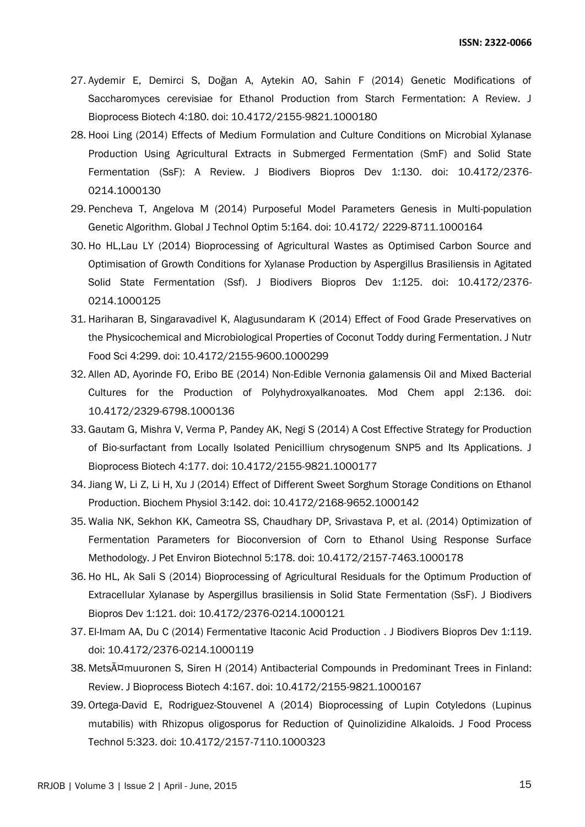- 27. [Aydemir E, Demirci S, Doğan A, Aytekin AO, Sahin F \(2014\) Genetic Modifications of](http://omicsonline.org/open-access/genetic-modifications-of-saccharomyces-cerevisiae-for-ethanol-production-from-starch-fermentation-a-review-2155-9821.1000180.php?aid=32783)  [Saccharomyces cerevisiae for Ethanol Production from Starch Fermentation: A Review. J](http://omicsonline.org/open-access/genetic-modifications-of-saccharomyces-cerevisiae-for-ethanol-production-from-starch-fermentation-a-review-2155-9821.1000180.php?aid=32783)  [Bioprocess Biotech 4:180. doi: 10.4172/2155-9821.1000180](http://omicsonline.org/open-access/genetic-modifications-of-saccharomyces-cerevisiae-for-ethanol-production-from-starch-fermentation-a-review-2155-9821.1000180.php?aid=32783)
- 28. [Hooi Ling \(2014\) Effects of Medium Formulation and Culture Conditions on Microbial Xylanase](http://omicsgroup.org/journals/effects-of-medium-formulation-and-culture-conditions-on-microbial-xylanase-production-using-agricultural-extracts-in-submerged-2376-0214.1000130.php?aid=32087)  [Production Using Agricultural Extracts in Submerged Fermentation \(SmF\) and Solid State](http://omicsgroup.org/journals/effects-of-medium-formulation-and-culture-conditions-on-microbial-xylanase-production-using-agricultural-extracts-in-submerged-2376-0214.1000130.php?aid=32087)  [Fermentation \(SsF\): A Review. J Biodivers Biopros Dev 1:130. doi: 10.4172/2376-](http://omicsgroup.org/journals/effects-of-medium-formulation-and-culture-conditions-on-microbial-xylanase-production-using-agricultural-extracts-in-submerged-2376-0214.1000130.php?aid=32087) [0214.1000130](http://omicsgroup.org/journals/effects-of-medium-formulation-and-culture-conditions-on-microbial-xylanase-production-using-agricultural-extracts-in-submerged-2376-0214.1000130.php?aid=32087)
- 29. [Pencheva T, Angelova M \(2014\) Purposeful Model Parameters Genesis in Multi-population](http://omicsonline.com/open-access/purposeful-model-parameters-genesis-in-multipopulation-genetic-algorithm-2229-8711.1000164.php?aid=31320)  [Genetic Algorithm. Global J Technol Optim 5:164. doi: 10.4172/ 2229-8711.1000164](http://omicsonline.com/open-access/purposeful-model-parameters-genesis-in-multipopulation-genetic-algorithm-2229-8711.1000164.php?aid=31320)
- 30. [Ho HL,Lau LY \(2014\) Bioprocessing of Agricultural Wastes as Optimised Carbon Source and](http://omicsgroup.org/journals/bioprocessing-of-agricultural-wastes-as-optimised-carbon-source-and-optimisation-of-growth-conditions-for-xylanase-production-2376-0214.1000125.php?aid=31286)  [Optimisation of Growth Conditions for Xylanase Production by Aspergillus Brasiliensis in Agitated](http://omicsgroup.org/journals/bioprocessing-of-agricultural-wastes-as-optimised-carbon-source-and-optimisation-of-growth-conditions-for-xylanase-production-2376-0214.1000125.php?aid=31286)  [Solid State Fermentation \(Ssf\). J Biodivers Biopros Dev 1:125. doi: 10.4172/2376-](http://omicsgroup.org/journals/bioprocessing-of-agricultural-wastes-as-optimised-carbon-source-and-optimisation-of-growth-conditions-for-xylanase-production-2376-0214.1000125.php?aid=31286) [0214.1000125](http://omicsgroup.org/journals/bioprocessing-of-agricultural-wastes-as-optimised-carbon-source-and-optimisation-of-growth-conditions-for-xylanase-production-2376-0214.1000125.php?aid=31286)
- 31. [Hariharan B, Singaravadivel K, Alagusundaram K \(2014\) Effect of Food Grade Preservatives on](http://omicsonline.org/open-access/effect-of-food-grade-preservatives-on-the-physicochemical-and-microbiological-properties-of-coconut-toddy-during-fermentation-2155-9600.1000299.php?aid=30845)  [the Physicochemical and Microbiological Properties of Coconut Toddy during Fermentation. J Nutr](http://omicsonline.org/open-access/effect-of-food-grade-preservatives-on-the-physicochemical-and-microbiological-properties-of-coconut-toddy-during-fermentation-2155-9600.1000299.php?aid=30845)  [Food Sci 4:299. doi: 10.4172/2155-9600.1000299](http://omicsonline.org/open-access/effect-of-food-grade-preservatives-on-the-physicochemical-and-microbiological-properties-of-coconut-toddy-during-fermentation-2155-9600.1000299.php?aid=30845)
- 32. Allen AD, Ayorinde FO, [Eribo BE \(2014\) Non-Edible Vernonia galamensis Oil and Mixed Bacterial](http://esciencecentral.org/journals/nonedible-vernonia-galamensis-oil-and-mixed-bacterial-cultures-for-the-production-of-polyhydroxyalkanoates-2329-6798.1000136.php?aid=30717)  [Cultures for the Production of Polyhydroxyalkanoates. Mod Chem appl 2:136. doi:](http://esciencecentral.org/journals/nonedible-vernonia-galamensis-oil-and-mixed-bacterial-cultures-for-the-production-of-polyhydroxyalkanoates-2329-6798.1000136.php?aid=30717)  [10.4172/2329-6798.1000136](http://esciencecentral.org/journals/nonedible-vernonia-galamensis-oil-and-mixed-bacterial-cultures-for-the-production-of-polyhydroxyalkanoates-2329-6798.1000136.php?aid=30717)
- 33. [Gautam G, Mishra V, Verma P, Pandey AK, Negi S \(2014\) A Cost Effective Strategy for Production](http://omicsonline.org/open-access/a-cost-effective-strategy-for-production-of-biosurfactant-from-locally-isolated-penicillium-chrysogenum-2155-9821.1000177.php?aid=30697)  [of Bio-surfactant from Locally Isolated Penicillium chrysogenum SNP5 and Its Applications. J](http://omicsonline.org/open-access/a-cost-effective-strategy-for-production-of-biosurfactant-from-locally-isolated-penicillium-chrysogenum-2155-9821.1000177.php?aid=30697)  [Bioprocess Biotech 4:177. doi: 10.4172/2155-9821.1000177](http://omicsonline.org/open-access/a-cost-effective-strategy-for-production-of-biosurfactant-from-locally-isolated-penicillium-chrysogenum-2155-9821.1000177.php?aid=30697)
- 34. [Jiang W, Li Z, Li H, Xu J \(2014\) Effect of Different Sweet Sorghum Storage Conditions on Ethanol](http://omicsgroup.org/journals/effect-of-different-sweet-sorghum-storage-conditions-on-ethanol-production-2168-9652.1000142.php?aid=29873)  [Production. Biochem Physiol 3:142. doi: 10.4172/2168-9652.1000142](http://omicsgroup.org/journals/effect-of-different-sweet-sorghum-storage-conditions-on-ethanol-production-2168-9652.1000142.php?aid=29873)
- 35. [Walia NK, Sekhon KK, Cameotra SS, Chaudhary DP, Srivastava P, et al. \(2014\) Optimization](http://omicsonline.org/open-access/optimization-of-fermentation-parameters-for-bioconversion-of-corn-to-ethanol-using-response-surface-methodology-2157-7463.1000178.php?aid=28324) of [Fermentation Parameters for Bioconversion of Corn to Ethanol Using Response Surface](http://omicsonline.org/open-access/optimization-of-fermentation-parameters-for-bioconversion-of-corn-to-ethanol-using-response-surface-methodology-2157-7463.1000178.php?aid=28324)  [Methodology. J Pet Environ Biotechnol 5:178. doi: 10.4172/2157-7463.1000178](http://omicsonline.org/open-access/optimization-of-fermentation-parameters-for-bioconversion-of-corn-to-ethanol-using-response-surface-methodology-2157-7463.1000178.php?aid=28324)
- 36. [Ho HL, Ak Sali S \(2014\) Bioprocessing of Agricultural Residuals for the Optimum Production of](http://omicsgroup.org/journals/bioprocessing-of-agricultural-residuals-for-the-optimum-production-of-extracellular-xylanase-2376-0214.1000121.php?aid=28092)  [Extracellular Xylanase by Aspergillus brasiliensis in Solid State Fermentation \(SsF\). J Biodivers](http://omicsgroup.org/journals/bioprocessing-of-agricultural-residuals-for-the-optimum-production-of-extracellular-xylanase-2376-0214.1000121.php?aid=28092)  [Biopros Dev 1:121. doi: 10.4172/2376-0214.1000121](http://omicsgroup.org/journals/bioprocessing-of-agricultural-residuals-for-the-optimum-production-of-extracellular-xylanase-2376-0214.1000121.php?aid=28092)
- 37. [El-Imam AA, Du C \(2014\) Fermentative Itaconic Acid Production . J Biodivers Biopros Dev 1:119.](http://omicsgroup.org/journals/fermentative-itaconic-acid-production-2376-0214.1000119.php?aid=28089)  [doi: 10.4172/2376-0214.1000119](http://omicsgroup.org/journals/fermentative-itaconic-acid-production-2376-0214.1000119.php?aid=28089)
- 38. [Metsämuuronen S, Siren H \(2014\) Antibacterial Compounds in Predominant Trees in Finland:](http://omicsonline.org/open-access/antibacterial-compounds-in-predominant-trees-in-finland-review-2155-9821.1000167.php?aid=27852)  [Review. J Bioprocess Biotech 4:167. doi: 10.4172/2155-9821.1000167](http://omicsonline.org/open-access/antibacterial-compounds-in-predominant-trees-in-finland-review-2155-9821.1000167.php?aid=27852)
- 39. [Ortega-David E, Rodriguez-Stouvenel A \(2014\) Bioprocessing of Lupin Cotyledons \(Lupinus](http://omicsonline.org/open-access/bioprocessing-of-lupin-cotyledons-lupinus-mutabilis-with-rhizopus-oligosporus-for-reduction-of-quinolizidine-alkaloids-2157-7110.1000323.php?aid=27046)  [mutabilis\) with Rhizopus oligosporus for Reduction of Quinolizidine Alkaloids. J Food Process](http://omicsonline.org/open-access/bioprocessing-of-lupin-cotyledons-lupinus-mutabilis-with-rhizopus-oligosporus-for-reduction-of-quinolizidine-alkaloids-2157-7110.1000323.php?aid=27046)  [Technol 5:323. doi: 10.4172/2157-7110.1000323](http://omicsonline.org/open-access/bioprocessing-of-lupin-cotyledons-lupinus-mutabilis-with-rhizopus-oligosporus-for-reduction-of-quinolizidine-alkaloids-2157-7110.1000323.php?aid=27046)